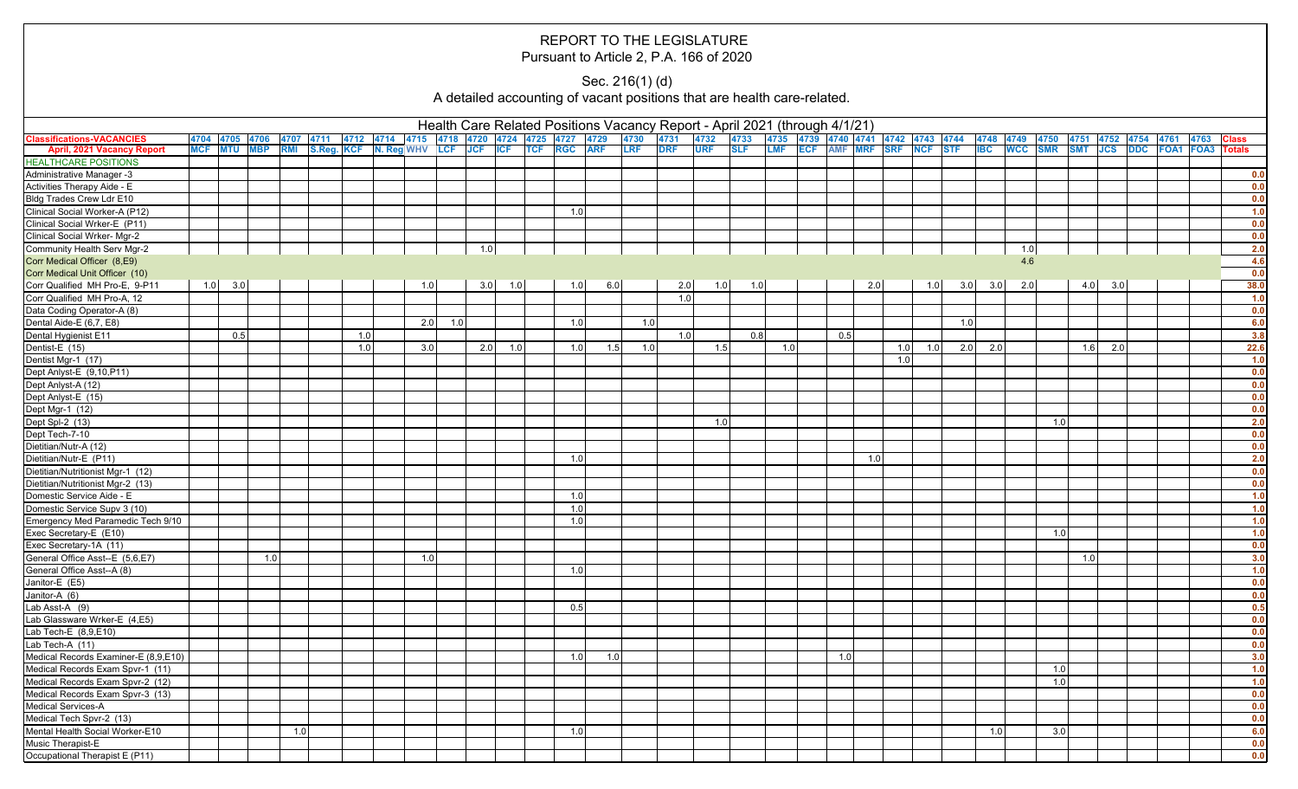## REPORT TO THE LEGISLATURE Pursuant to Article 2, P.A. 166 of 2020

## Sec. 216(1) (d)

A detailed accounting of vacant positions that are health care-related.

|                                                                      | Health Care Related Positions Vacancy Report - April 2021 (through 4/1/21)<br> 4704  4705  4706  4707  4711  4712  4714  4715  4718  4720  4724  4725  4727  4729  4730  4731  4732  4733<br> 4735  4739  4740  4741  4742  4743  4744  4748  4749<br>4750 4751 4752 4754 4761 |  |     |  |  |     |  |            |     |     |  |     |     |     |            |            |     |            |                             |     |     |             |     |     |     |            |     |           |  |      |                                                 |
|----------------------------------------------------------------------|--------------------------------------------------------------------------------------------------------------------------------------------------------------------------------------------------------------------------------------------------------------------------------|--|-----|--|--|-----|--|------------|-----|-----|--|-----|-----|-----|------------|------------|-----|------------|-----------------------------|-----|-----|-------------|-----|-----|-----|------------|-----|-----------|--|------|-------------------------------------------------|
| <b>Classifications-VACANCIES</b>                                     |                                                                                                                                                                                                                                                                                |  |     |  |  |     |  |            |     |     |  |     |     |     |            |            |     |            |                             |     |     |             |     |     |     |            |     |           |  | 4763 | <b>Class</b>                                    |
| <b>April, 2021 Vacancy Report</b>                                    | MCF MTU MBP RMI S.Reg. KCF N. Reg WHV LCF JCF ICF TCF RGC ARF                                                                                                                                                                                                                  |  |     |  |  |     |  |            |     |     |  |     |     | LRF | <b>DRF</b> | <b>URF</b> |     | <b>SLF</b> | LMF ECF AMF MRF SRF NCF STF |     |     |             |     |     |     |            |     |           |  |      | <b>IBC</b> WCC SMR SMT JCS DDC FOA1 FOA3 Totals |
| <b>HEALTHCARE POSITIONS</b>                                          |                                                                                                                                                                                                                                                                                |  |     |  |  |     |  |            |     |     |  |     |     |     |            |            |     |            |                             |     |     |             |     |     |     |            |     |           |  |      |                                                 |
| Administrative Manager -3                                            |                                                                                                                                                                                                                                                                                |  |     |  |  |     |  |            |     |     |  |     |     |     |            |            |     |            |                             |     |     |             |     |     |     |            |     |           |  |      | 0.0                                             |
| Activities Therapy Aide - E                                          |                                                                                                                                                                                                                                                                                |  |     |  |  |     |  |            |     |     |  |     |     |     |            |            |     |            |                             |     |     |             |     |     |     |            |     |           |  |      | 0.0                                             |
| Bldg Trades Crew Ldr E10                                             |                                                                                                                                                                                                                                                                                |  |     |  |  |     |  |            |     |     |  |     |     |     |            |            |     |            |                             |     |     |             |     |     |     |            |     |           |  |      | 0.0                                             |
| Clinical Social Worker-A (P12)                                       |                                                                                                                                                                                                                                                                                |  |     |  |  |     |  |            |     |     |  | 1.0 |     |     |            |            |     |            |                             |     |     |             |     |     |     |            |     |           |  |      | 1.0                                             |
| Clinical Social Wrker-E (P11)                                        |                                                                                                                                                                                                                                                                                |  |     |  |  |     |  |            |     |     |  |     |     |     |            |            |     |            |                             |     |     |             |     |     |     |            |     |           |  |      | 0.0                                             |
| Clinical Social Wrker- Mgr-2                                         |                                                                                                                                                                                                                                                                                |  |     |  |  |     |  |            |     |     |  |     |     |     |            |            |     |            |                             |     |     |             |     |     |     |            |     |           |  |      | 0.0                                             |
| Community Health Serv Mgr-2                                          |                                                                                                                                                                                                                                                                                |  |     |  |  |     |  |            | 1.0 |     |  |     |     |     |            |            |     |            |                             |     |     |             |     |     | 1.0 |            |     |           |  |      | 2.0                                             |
| Corr Medical Officer (8,E9)                                          |                                                                                                                                                                                                                                                                                |  |     |  |  |     |  |            |     |     |  |     |     |     |            |            |     |            |                             |     |     |             |     |     | 4.6 |            |     |           |  |      | 4.6                                             |
| Corr Medical Unit Officer (10)                                       |                                                                                                                                                                                                                                                                                |  |     |  |  |     |  |            |     |     |  |     |     |     |            |            |     |            |                             |     |     |             |     |     |     |            |     |           |  |      | 0.0                                             |
| Corr Qualified MH Pro-E, 9-P11                                       | $1.0\qquad 3.0$                                                                                                                                                                                                                                                                |  |     |  |  |     |  | 1.0        | 3.0 | 1.0 |  | 1.0 | 6.0 |     | 2.0        |            | 1.0 | 1.0        |                             | 2.0 |     | 1.0         | 3.0 | 3.0 | 2.0 |            | 4.0 | 3.0       |  |      | 38.0                                            |
| Corr Qualified MH Pro-A, 12                                          |                                                                                                                                                                                                                                                                                |  |     |  |  |     |  |            |     |     |  |     |     |     | 1.0        |            |     |            |                             |     |     |             |     |     |     |            |     |           |  |      | 1.0                                             |
| Data Coding Operator-A (8)                                           |                                                                                                                                                                                                                                                                                |  |     |  |  |     |  |            |     |     |  |     |     |     |            |            |     |            |                             |     |     |             |     |     |     |            |     |           |  |      | 0.0                                             |
| Dental Aide-E (6,7, E8)                                              |                                                                                                                                                                                                                                                                                |  |     |  |  |     |  | 1.0<br>2.0 |     |     |  | 1.0 |     |     | 1.0        |            |     |            |                             |     |     |             | 1.0 |     |     |            |     |           |  |      | 6.0                                             |
| Dental Hygienist E11                                                 | 0.5                                                                                                                                                                                                                                                                            |  |     |  |  | 1.0 |  |            |     |     |  |     |     |     | 1.0        |            |     | 0.8        | 0.5                         |     |     |             |     |     |     |            |     |           |  |      | 3.8                                             |
| Dentist-E (15)                                                       |                                                                                                                                                                                                                                                                                |  |     |  |  | 1.0 |  | 3.0        | 2.0 | 1.0 |  | 1.0 | 1.5 |     | 1.0        |            | 1.5 | 1.0        |                             |     |     | $1.0$ $1.0$ | 2.0 | 2.0 |     |            |     | $1.6$ 2.0 |  |      | 22.6                                            |
| Dentist Mgr-1 (17)                                                   |                                                                                                                                                                                                                                                                                |  |     |  |  |     |  |            |     |     |  |     |     |     |            |            |     |            |                             |     | 1.0 |             |     |     |     |            |     |           |  |      | 1.0                                             |
| Dept Anlyst-E (9,10,P11)                                             |                                                                                                                                                                                                                                                                                |  |     |  |  |     |  |            |     |     |  |     |     |     |            |            |     |            |                             |     |     |             |     |     |     |            |     |           |  |      | 0.0                                             |
| Dept Anlyst-A (12)                                                   |                                                                                                                                                                                                                                                                                |  |     |  |  |     |  |            |     |     |  |     |     |     |            |            |     |            |                             |     |     |             |     |     |     |            |     |           |  |      | 0.0                                             |
| Dept Anlyst-E (15)                                                   |                                                                                                                                                                                                                                                                                |  |     |  |  |     |  |            |     |     |  |     |     |     |            |            |     |            |                             |     |     |             |     |     |     |            |     |           |  |      | 0.0                                             |
| Dept Mgr-1 (12)                                                      |                                                                                                                                                                                                                                                                                |  |     |  |  |     |  |            |     |     |  |     |     |     |            |            |     |            |                             |     |     |             |     |     |     |            |     |           |  |      | 0.0                                             |
| Dept Spl-2 (13)                                                      |                                                                                                                                                                                                                                                                                |  |     |  |  |     |  |            |     |     |  |     |     |     |            |            | 1.0 |            |                             |     |     |             |     |     |     | 1.0        |     |           |  |      | 2.0                                             |
| Dept Tech-7-10                                                       |                                                                                                                                                                                                                                                                                |  |     |  |  |     |  |            |     |     |  |     |     |     |            |            |     |            |                             |     |     |             |     |     |     |            |     |           |  |      | 0.0                                             |
| Dietitian/Nutr-A (12)                                                |                                                                                                                                                                                                                                                                                |  |     |  |  |     |  |            |     |     |  |     |     |     |            |            |     |            |                             |     |     |             |     |     |     |            |     |           |  |      | 0.0                                             |
| Dietitian/Nutr-E (P11)                                               |                                                                                                                                                                                                                                                                                |  |     |  |  |     |  |            |     |     |  | 1.0 |     |     |            |            |     |            |                             | 1.0 |     |             |     |     |     |            |     |           |  |      | 2.0                                             |
| Dietitian/Nutritionist Mgr-1 (12)                                    |                                                                                                                                                                                                                                                                                |  |     |  |  |     |  |            |     |     |  |     |     |     |            |            |     |            |                             |     |     |             |     |     |     |            |     |           |  |      | 0.0                                             |
| Dietitian/Nutritionist Mgr-2 (13)                                    |                                                                                                                                                                                                                                                                                |  |     |  |  |     |  |            |     |     |  |     |     |     |            |            |     |            |                             |     |     |             |     |     |     |            |     |           |  |      | 0.0                                             |
| Domestic Service Aide - E                                            |                                                                                                                                                                                                                                                                                |  |     |  |  |     |  |            |     |     |  | 1.0 |     |     |            |            |     |            |                             |     |     |             |     |     |     |            |     |           |  |      | 1.0                                             |
| Domestic Service Supv 3 (10)                                         |                                                                                                                                                                                                                                                                                |  |     |  |  |     |  |            |     |     |  | 1.0 |     |     |            |            |     |            |                             |     |     |             |     |     |     |            |     |           |  |      | 1.0                                             |
| Emergency Med Paramedic Tech 9/10                                    |                                                                                                                                                                                                                                                                                |  |     |  |  |     |  |            |     |     |  | 1.0 |     |     |            |            |     |            |                             |     |     |             |     |     |     |            |     |           |  |      | 1.0                                             |
| Exec Secretary-E (E10)                                               |                                                                                                                                                                                                                                                                                |  |     |  |  |     |  |            |     |     |  |     |     |     |            |            |     |            |                             |     |     |             |     |     |     | 1.0        |     |           |  |      | 1.0                                             |
| Exec Secretary-1A (11)                                               |                                                                                                                                                                                                                                                                                |  |     |  |  |     |  |            |     |     |  |     |     |     |            |            |     |            |                             |     |     |             |     |     |     |            |     |           |  |      | 0.0                                             |
| General Office Asst--E (5,6,E7)                                      |                                                                                                                                                                                                                                                                                |  | 1.0 |  |  |     |  | 1.0        |     |     |  |     |     |     |            |            |     |            |                             |     |     |             |     |     |     |            | 1.0 |           |  |      | 3.0                                             |
| General Office Asst--A (8)                                           |                                                                                                                                                                                                                                                                                |  |     |  |  |     |  |            |     |     |  | 1.0 |     |     |            |            |     |            |                             |     |     |             |     |     |     |            |     |           |  |      | 1.0                                             |
| Janitor-E (E5)                                                       |                                                                                                                                                                                                                                                                                |  |     |  |  |     |  |            |     |     |  |     |     |     |            |            |     |            |                             |     |     |             |     |     |     |            |     |           |  |      | 0.0                                             |
| Janitor-A (6)                                                        |                                                                                                                                                                                                                                                                                |  |     |  |  |     |  |            |     |     |  |     |     |     |            |            |     |            |                             |     |     |             |     |     |     |            |     |           |  |      | 0.0                                             |
| Lab Asst-A (9)                                                       |                                                                                                                                                                                                                                                                                |  |     |  |  |     |  |            |     |     |  | 0.5 |     |     |            |            |     |            |                             |     |     |             |     |     |     |            |     |           |  |      | 0.5                                             |
| Lab Glassware Wrker-E (4,E5)                                         |                                                                                                                                                                                                                                                                                |  |     |  |  |     |  |            |     |     |  |     |     |     |            |            |     |            |                             |     |     |             |     |     |     |            |     |           |  |      | 0.0                                             |
| Lab Tech-E (8,9,E10)                                                 |                                                                                                                                                                                                                                                                                |  |     |  |  |     |  |            |     |     |  |     |     |     |            |            |     |            |                             |     |     |             |     |     |     |            |     |           |  |      | 0.0                                             |
| Lab Tech-A (11)                                                      |                                                                                                                                                                                                                                                                                |  |     |  |  |     |  |            |     |     |  |     |     |     |            |            |     |            |                             |     |     |             |     |     |     |            |     |           |  |      | 0.0                                             |
| Medical Records Examiner-E (8,9,E10)                                 |                                                                                                                                                                                                                                                                                |  |     |  |  |     |  |            |     |     |  | 1.0 | 1.0 |     |            |            |     |            | 1.0                         |     |     |             |     |     |     |            |     |           |  |      | 3.0                                             |
|                                                                      |                                                                                                                                                                                                                                                                                |  |     |  |  |     |  |            |     |     |  |     |     |     |            |            |     |            |                             |     |     |             |     |     |     |            |     |           |  |      | 1.0                                             |
| Medical Records Exam Spvr-1 (11)<br>Medical Records Exam Spvr-2 (12) |                                                                                                                                                                                                                                                                                |  |     |  |  |     |  |            |     |     |  |     |     |     |            |            |     |            |                             |     |     |             |     |     |     | 1.0<br>1.0 |     |           |  |      | 1.0                                             |
| Medical Records Exam Spvr-3 (13)                                     |                                                                                                                                                                                                                                                                                |  |     |  |  |     |  |            |     |     |  |     |     |     |            |            |     |            |                             |     |     |             |     |     |     |            |     |           |  |      | 0.0                                             |
| Medical Services-A                                                   |                                                                                                                                                                                                                                                                                |  |     |  |  |     |  |            |     |     |  |     |     |     |            |            |     |            |                             |     |     |             |     |     |     |            |     |           |  |      |                                                 |
| Medical Tech Spvr-2 (13)                                             |                                                                                                                                                                                                                                                                                |  |     |  |  |     |  |            |     |     |  |     |     |     |            |            |     |            |                             |     |     |             |     |     |     |            |     |           |  |      | 0.0<br>0.0                                      |
| Mental Health Social Worker-E10                                      |                                                                                                                                                                                                                                                                                |  | 1.0 |  |  |     |  |            |     |     |  | 1.0 |     |     |            |            |     |            |                             |     |     |             |     | 1.0 |     | 3.0        |     |           |  |      | 6.0                                             |
|                                                                      |                                                                                                                                                                                                                                                                                |  |     |  |  |     |  |            |     |     |  |     |     |     |            |            |     |            |                             |     |     |             |     |     |     |            |     |           |  |      |                                                 |
| Music Therapist-E                                                    |                                                                                                                                                                                                                                                                                |  |     |  |  |     |  |            |     |     |  |     |     |     |            |            |     |            |                             |     |     |             |     |     |     |            |     |           |  |      | 0.0                                             |
| Occupational Therapist E (P11)                                       |                                                                                                                                                                                                                                                                                |  |     |  |  |     |  |            |     |     |  |     |     |     |            |            |     |            |                             |     |     |             |     |     |     |            |     |           |  |      | 0.0                                             |